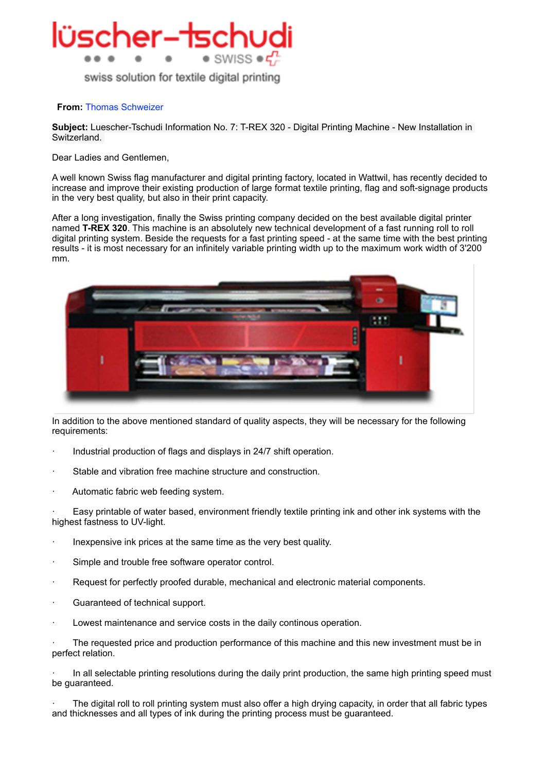

swiss solution for textile digital printing

## **From:** [Thomas Schweizer](mailto:t-schweizer@bluewin.ch)

**Subject:** Luescher-Tschudi Information No. 7: T-REX 320 - Digital Printing Machine - New Installation in Switzerland.

Dear Ladies and Gentlemen,

A well known Swiss flag manufacturer and digital printing factory, located in Wattwil, has recently decided to increase and improve their existing production of large format textile printing, flag and soft-signage products in the very best quality, but also in their print capacity.

After a long investigation, finally the Swiss printing company decided on the best available digital printer named **T-REX 320**. This machine is an absolutely new technical development of a fast running roll to roll digital printing system. Beside the requests for a fast printing speed - at the same time with the best printing results - it is most necessary for an infinitely variable printing width up to the maximum work width of 3'200 mm.



In addition to the above mentioned standard of quality aspects, they will be necessary for the following requirements:

- Industrial production of flags and displays in 24/7 shift operation.
- Stable and vibration free machine structure and construction.
- Automatic fabric web feeding system.

Easy printable of water based, environment friendly textile printing ink and other ink systems with the highest fastness to UV-light.

- · Inexpensive ink prices at the same time as the very best quality.
- Simple and trouble free software operator control.
- Request for perfectly proofed durable, mechanical and electronic material components.
- Guaranteed of technical support.
- · Lowest maintenance and service costs in the daily continous operation.

The requested price and production performance of this machine and this new investment must be in perfect relation.

· In all selectable printing resolutions during the daily print production, the same high printing speed must be guaranteed.

The digital roll to roll printing system must also offer a high drying capacity, in order that all fabric types and thicknesses and all types of ink during the printing process must be guaranteed.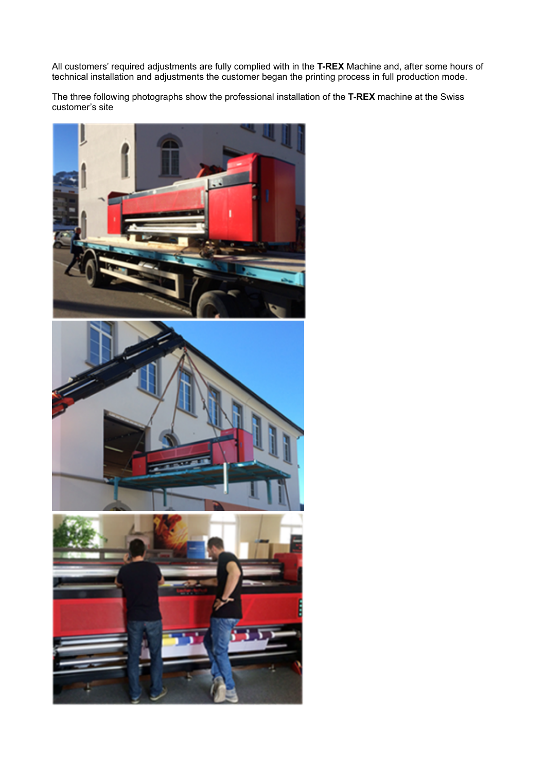All customers' required adjustments are fully complied with in the **T-REX** Machine and, after some hours of technical installation and adjustments the customer began the printing process in full production mode.

The three following photographs show the professional installation of the **T-REX** machine at the Swiss customer's site